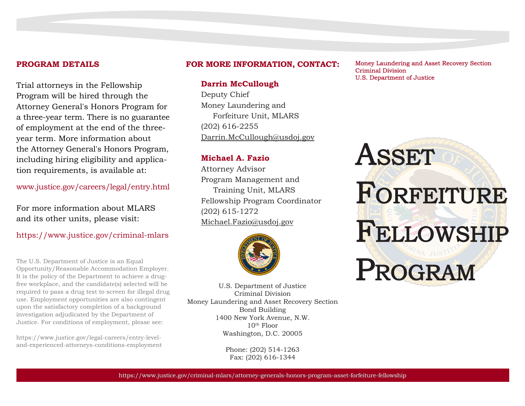#### **PROGRAM DETAILS**

Trial attorneys in the Fellowship Program will be hired through the Attorney General's Honors Program for a three-year term. There is no guarantee of employment at the end of the threeyear term. More information about the Attorney General's Honors Program, including hiring eligibility and application requirements, is available at:

www.justice.gov/careers/legal/entry.html

For more information about MLARS and its other units, please visit:

https://www.justice.gov/criminal-mlars

The U.S. Department of Justice is an Equal Opportunity/Reasonable Accommodation Employer. It is the policy of the Department to achieve a drugfree workplace, and the candidate(s) selected will be required to pass a drug test to screen for illegal drug use. Employment opportunities are also contingent upon the satisfactory completion of a background investigation adjudicated by the Department of Justice. For conditions of employment, please see:

https://www.justice.gov/legal-careers/entry-leveland-experienced-attorneys-conditions-employment

#### **FOR MORE INFORMATION, CONTACT:**

## **Darrin McCullough**

Deputy Chief Money Laundering and Forfeiture Unit, MLARS (202) 616-2255 Darrin.McCullough@usdoj.gov

## **Michael A. Fazio**

Attorney Advisor Program Management and Training Unit, MLARS Fellowship Program Coordinator (202) 615-1272 Michael.Fazio@usdoj.gov



U.S. Department of Justice Criminal Division Money Laundering and Asset Recovery Section Bond Building 1400 New York Avenue, N.W. 10th Floor Washington, D.C. 20005

> Phone: (202) 514-1263 Fax: (202) 616-1344

Money Laundering and Asset Recovery Section Criminal Division U.S. Department of Justice